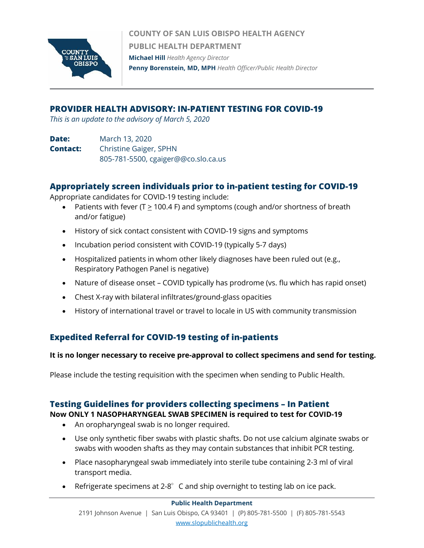

**COUNTY OF SAN LUIS OBISPO HEALTH AGENCY PUBLIC HEALTH DEPARTMENT Michael Hill** *Health Agency Director* **Penny Borenstein, MD, MPH** *Health Officer/Public Health Director*

# **PROVIDER HEALTH ADVISORY: IN-PATIENT TESTING FOR COVID-19**

*This is an update to the advisory of March 5, 2020*

**Date:** March 13, 2020 **Contact:** Christine Gaiger, SPHN 805-781-5500, cgaiger@@co.slo.ca.us

# **Appropriately screen individuals prior to in-patient testing for COVID-19**

Appropriate candidates for COVID-19 testing include:

- Patients with fever (T  $\geq$  100.4 F) and symptoms (cough and/or shortness of breath and/or fatigue)
- History of sick contact consistent with COVID-19 signs and symptoms
- Incubation period consistent with COVID-19 (typically 5-7 days)
- Hospitalized patients in whom other likely diagnoses have been ruled out (e.g., Respiratory Pathogen Panel is negative)
- Nature of disease onset COVID typically has prodrome (vs. flu which has rapid onset)
- Chest X-ray with bilateral infiltrates/ground-glass opacities
- History of international travel or travel to locale in US with community transmission

# **Expedited Referral for COVID-19 testing of in-patients**

## **It is no longer necessary to receive pre-approval to collect specimens and send for testing.**

Please include the testing requisition with the specimen when sending to Public Health.

# **Testing Guidelines for providers collecting specimens – In Patient**

## **Now ONLY 1 NASOPHARYNGEAL SWAB SPECIMEN is required to test for COVID-19**

- An oropharyngeal swab is no longer required.
- Use only synthetic fiber swabs with plastic shafts. Do not use calcium alginate swabs or swabs with wooden shafts as they may contain substances that inhibit PCR testing.
- Place nasopharyngeal swab immediately into sterile tube containing 2-3 ml of viral transport media.
- Refrigerate specimens at 2-8 $^{\circ}$  C and ship overnight to testing lab on ice pack.